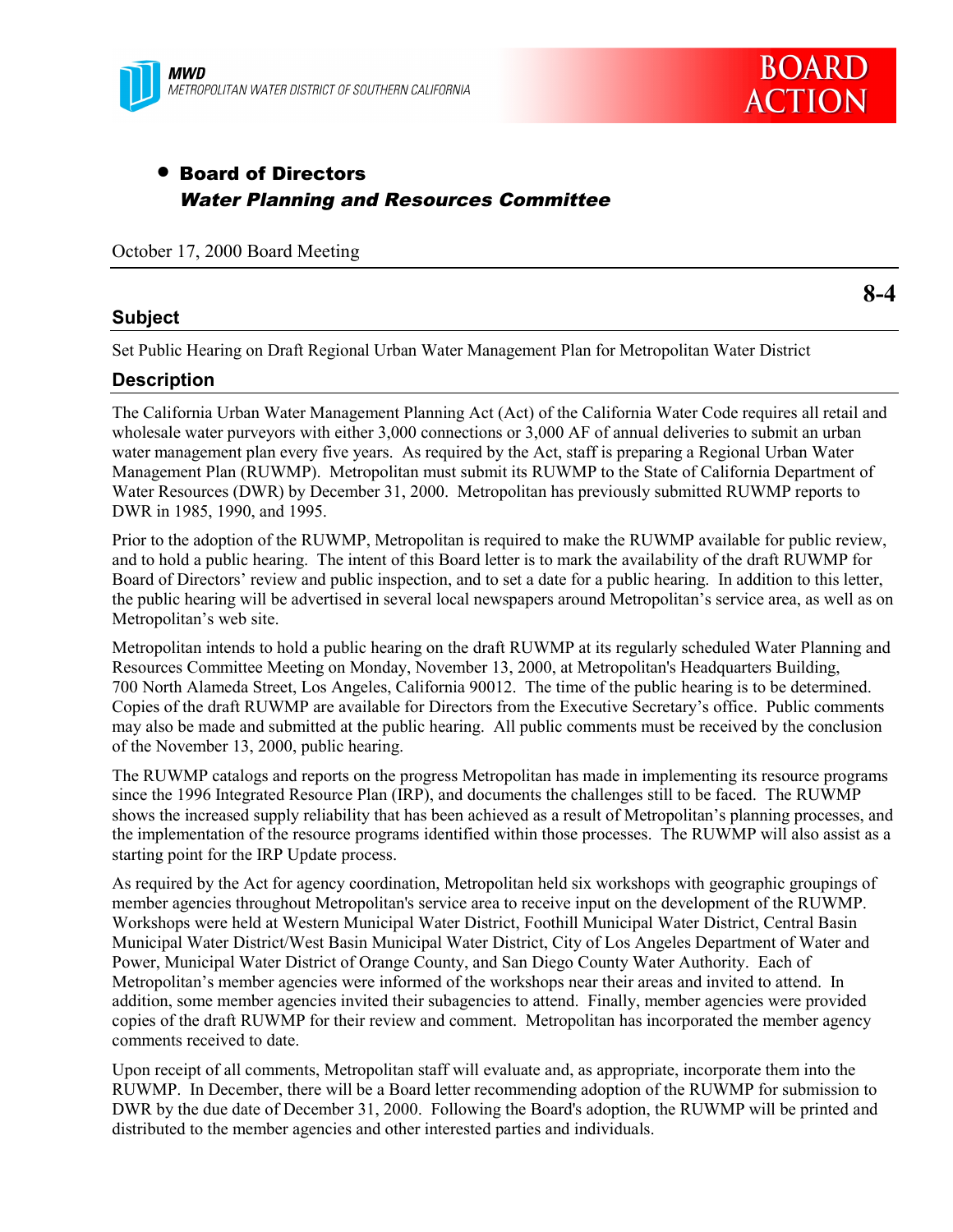

# • Board of Directors Water Planning and Resources Committee

October 17, 2000 Board Meeting

## **Subject**

**8-4**

Set Public Hearing on Draft Regional Urban Water Management Plan for Metropolitan Water District

## **Description**

The California Urban Water Management Planning Act (Act) of the California Water Code requires all retail and wholesale water purveyors with either 3,000 connections or 3,000 AF of annual deliveries to submit an urban water management plan every five years. As required by the Act, staff is preparing a Regional Urban Water Management Plan (RUWMP). Metropolitan must submit its RUWMP to the State of California Department of Water Resources (DWR) by December 31, 2000. Metropolitan has previously submitted RUWMP reports to DWR in 1985, 1990, and 1995.

Prior to the adoption of the RUWMP, Metropolitan is required to make the RUWMP available for public review, and to hold a public hearing. The intent of this Board letter is to mark the availability of the draft RUWMP for Board of Directors' review and public inspection, and to set a date for a public hearing. In addition to this letter, the public hearing will be advertised in several local newspapers around Metropolitan's service area, as well as on Metropolitan's web site.

Metropolitan intends to hold a public hearing on the draft RUWMP at its regularly scheduled Water Planning and Resources Committee Meeting on Monday, November 13, 2000, at Metropolitan's Headquarters Building, 700 North Alameda Street, Los Angeles, California 90012. The time of the public hearing is to be determined. Copies of the draft RUWMP are available for Directors from the Executive Secretary's office. Public comments may also be made and submitted at the public hearing. All public comments must be received by the conclusion of the November 13, 2000, public hearing.

The RUWMP catalogs and reports on the progress Metropolitan has made in implementing its resource programs since the 1996 Integrated Resource Plan (IRP), and documents the challenges still to be faced. The RUWMP shows the increased supply reliability that has been achieved as a result of Metropolitan's planning processes, and the implementation of the resource programs identified within those processes. The RUWMP will also assist as a starting point for the IRP Update process.

As required by the Act for agency coordination, Metropolitan held six workshops with geographic groupings of member agencies throughout Metropolitan's service area to receive input on the development of the RUWMP. Workshops were held at Western Municipal Water District, Foothill Municipal Water District, Central Basin Municipal Water District/West Basin Municipal Water District, City of Los Angeles Department of Water and Power, Municipal Water District of Orange County, and San Diego County Water Authority. Each of Metropolitan's member agencies were informed of the workshops near their areas and invited to attend. In addition, some member agencies invited their subagencies to attend. Finally, member agencies were provided copies of the draft RUWMP for their review and comment. Metropolitan has incorporated the member agency comments received to date.

Upon receipt of all comments, Metropolitan staff will evaluate and, as appropriate, incorporate them into the RUWMP. In December, there will be a Board letter recommending adoption of the RUWMP for submission to DWR by the due date of December 31, 2000. Following the Board's adoption, the RUWMP will be printed and distributed to the member agencies and other interested parties and individuals.